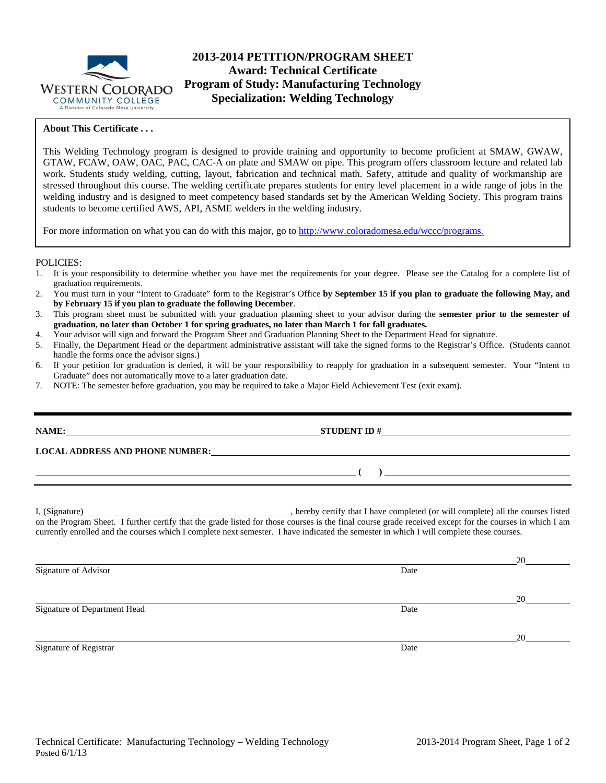

# **2013-2014 PETITION/PROGRAM SHEET Award: Technical Certificate Program of Study: Manufacturing Technology Specialization: Welding Technology**

### **About This Certificate . . .**

This Welding Technology program is designed to provide training and opportunity to become proficient at SMAW, GWAW, GTAW, FCAW, OAW, OAC, PAC, CAC-A on plate and SMAW on pipe. This program offers classroom lecture and related lab work. Students study welding, cutting, layout, fabrication and technical math. Safety, attitude and quality of workmanship are stressed throughout this course. The welding certificate prepares students for entry level placement in a wide range of jobs in the welding industry and is designed to meet competency based standards set by the American Welding Society. This program trains students to become certified AWS, API, ASME welders in the welding industry.

For more information on what you can do with this major, go to http://www.coloradomesa.edu/wccc/programs.

#### POLICIES:

- 1. It is your responsibility to determine whether you have met the requirements for your degree. Please see the Catalog for a complete list of graduation requirements.
- 2. You must turn in your "Intent to Graduate" form to the Registrar's Office **by September 15 if you plan to graduate the following May, and by February 15 if you plan to graduate the following December**.
- 3. This program sheet must be submitted with your graduation planning sheet to your advisor during the **semester prior to the semester of graduation, no later than October 1 for spring graduates, no later than March 1 for fall graduates.**
- 4. Your advisor will sign and forward the Program Sheet and Graduation Planning Sheet to the Department Head for signature.
- 5. Finally, the Department Head or the department administrative assistant will take the signed forms to the Registrar's Office. (Students cannot handle the forms once the advisor signs.)
- 6. If your petition for graduation is denied, it will be your responsibility to reapply for graduation in a subsequent semester. Your "Intent to Graduate" does not automatically move to a later graduation date.
- 7. NOTE: The semester before graduation, you may be required to take a Major Field Achievement Test (exit exam).

## **NAME: STUDENT ID #**

**LOCAL ADDRESS AND PHONE NUMBER:**

I, (Signature) , hereby certify that I have completed (or will complete) all the courses listed on the Program Sheet. I further certify that the grade listed for those courses is the final course grade received except for the courses in which I am currently enrolled and the courses which I complete next semester. I have indicated the semester in which I will complete these courses.

Signature of Advisor Date

Signature of Department Head Date

Signature of Registrar Date and Separature of Registrar Date

Technical Certificate: Manufacturing Technology – Welding Technology 2013-2014 Program Sheet, Page 1 of 2 Posted 6/1/13

 $\mathbf{)}$   $\mathbf{}$ 

20

20

20